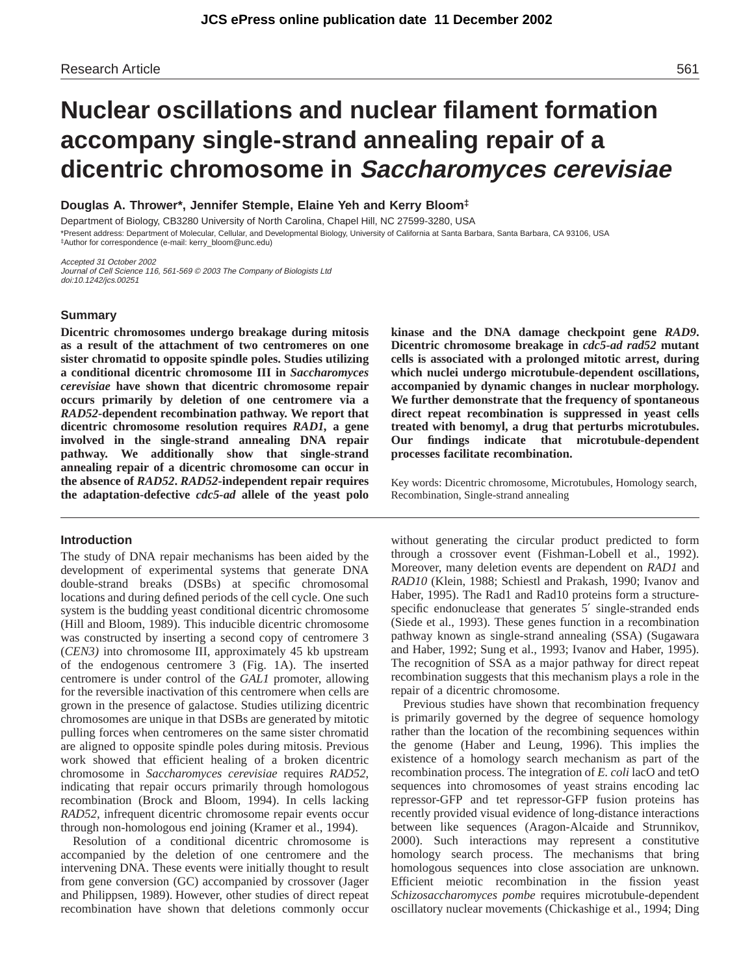# **Nuclear oscillations and nuclear filament formation accompany single-strand annealing repair of a dicentric chromosome in Saccharomyces cerevisiae**

**Douglas A. Thrower\*, Jennifer Stemple, Elaine Yeh and Kerry Bloom‡**

Department of Biology, CB3280 University of North Carolina, Chapel Hill, NC 27599-3280, USA \*Present address: Department of Molecular, Cellular, and Developmental Biology, University of California at Santa Barbara, Santa Barbara, CA 93106, USA ‡Author for correspondence (e-mail: kerry\_bloom@unc.edu)

Accepted 31 October 2002 Journal of Cell Science 116, 561-569 © 2003 The Company of Biologists Ltd doi:10.1242/jcs.00251

# **Summary**

**Dicentric chromosomes undergo breakage during mitosis as a result of the attachment of two centromeres on one sister chromatid to opposite spindle poles. Studies utilizing a conditional dicentric chromosome III in** *Saccharomyces cerevisiae* **have shown that dicentric chromosome repair occurs primarily by deletion of one centromere via a** *RAD52-***dependent recombination pathway. We report that dicentric chromosome resolution requires** *RAD1,* **a gene involved in the single-strand annealing DNA repair pathway. We additionally show that single-strand annealing repair of a dicentric chromosome can occur in the absence of** *RAD52***.** *RAD52-***independent repair requires the adaptation-defective** *cdc5-ad* **allele of the yeast polo**

#### **Introduction**

The study of DNA repair mechanisms has been aided by the development of experimental systems that generate DNA double-strand breaks (DSBs) at specific chromosomal locations and during defined periods of the cell cycle. One such system is the budding yeast conditional dicentric chromosome (Hill and Bloom, 1989). This inducible dicentric chromosome was constructed by inserting a second copy of centromere 3 (*CEN3)* into chromosome III, approximately 45 kb upstream of the endogenous centromere 3 (Fig. 1A). The inserted centromere is under control of the *GAL1* promoter, allowing for the reversible inactivation of this centromere when cells are grown in the presence of galactose. Studies utilizing dicentric chromosomes are unique in that DSBs are generated by mitotic pulling forces when centromeres on the same sister chromatid are aligned to opposite spindle poles during mitosis. Previous work showed that efficient healing of a broken dicentric chromosome in *Saccharomyces cerevisiae* requires *RAD52*, indicating that repair occurs primarily through homologous recombination (Brock and Bloom, 1994). In cells lacking *RAD52*, infrequent dicentric chromosome repair events occur through non-homologous end joining (Kramer et al., 1994).

Resolution of a conditional dicentric chromosome is accompanied by the deletion of one centromere and the intervening DNA. These events were initially thought to result from gene conversion (GC) accompanied by crossover (Jager and Philippsen, 1989). However, other studies of direct repeat recombination have shown that deletions commonly occur

**kinase and the DNA damage checkpoint gene** *RAD9***. Dicentric chromosome breakage in** *cdc5-ad rad52* **mutant cells is associated with a prolonged mitotic arrest, during which nuclei undergo microtubule-dependent oscillations, accompanied by dynamic changes in nuclear morphology. We further demonstrate that the frequency of spontaneous direct repeat recombination is suppressed in yeast cells treated with benomyl, a drug that perturbs microtubules. Our findings indicate that microtubule-dependent processes facilitate recombination.**

Key words: Dicentric chromosome, Microtubules, Homology search, Recombination, Single-strand annealing

without generating the circular product predicted to form through a crossover event (Fishman-Lobell et al., 1992). Moreover, many deletion events are dependent on *RAD1* and *RAD10* (Klein, 1988; Schiestl and Prakash, 1990; Ivanov and Haber, 1995). The Rad1 and Rad10 proteins form a structurespecific endonuclease that generates 5' single-stranded ends (Siede et al., 1993). These genes function in a recombination pathway known as single-strand annealing (SSA) (Sugawara and Haber, 1992; Sung et al., 1993; Ivanov and Haber, 1995). The recognition of SSA as a major pathway for direct repeat recombination suggests that this mechanism plays a role in the repair of a dicentric chromosome.

Previous studies have shown that recombination frequency is primarily governed by the degree of sequence homology rather than the location of the recombining sequences within the genome (Haber and Leung, 1996). This implies the existence of a homology search mechanism as part of the recombination process. The integration of *E. coli* lacO and tetO sequences into chromosomes of yeast strains encoding lac repressor-GFP and tet repressor-GFP fusion proteins has recently provided visual evidence of long-distance interactions between like sequences (Aragon-Alcaide and Strunnikov, 2000). Such interactions may represent a constitutive homology search process. The mechanisms that bring homologous sequences into close association are unknown. Efficient meiotic recombination in the fission yeast *Schizosaccharomyces pombe* requires microtubule-dependent oscillatory nuclear movements (Chickashige et al., 1994; Ding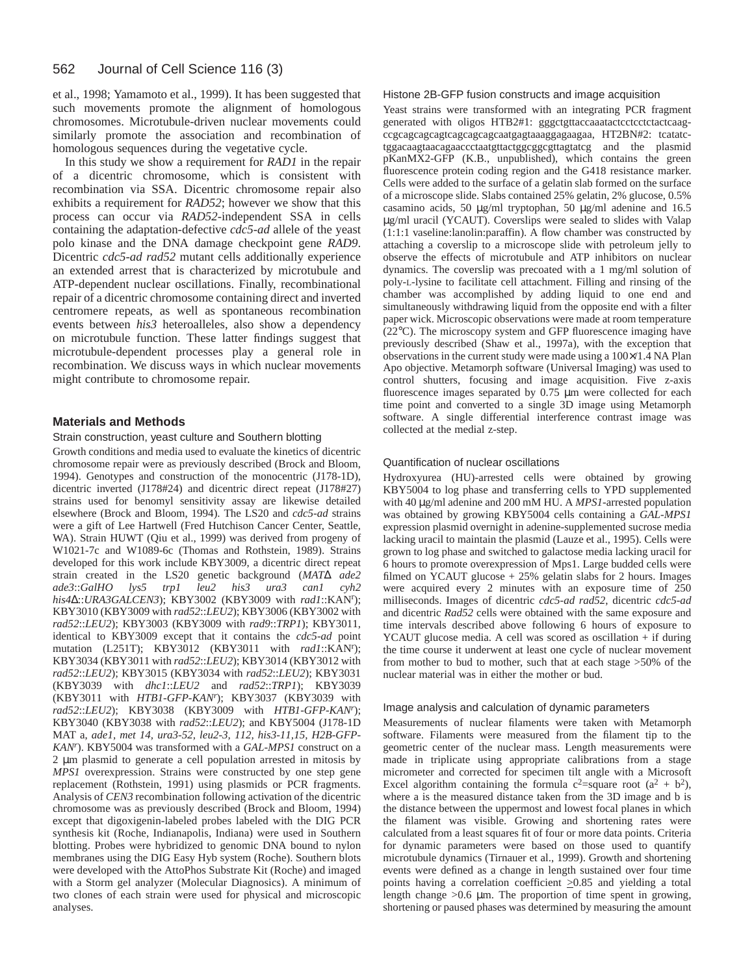et al., 1998; Yamamoto et al., 1999). It has been suggested that such movements promote the alignment of homologous chromosomes. Microtubule-driven nuclear movements could similarly promote the association and recombination of homologous sequences during the vegetative cycle.

In this study we show a requirement for *RAD1* in the repair of a dicentric chromosome, which is consistent with recombination via SSA. Dicentric chromosome repair also exhibits a requirement for *RAD52*; however we show that this process can occur via *RAD52-*independent SSA in cells containing the adaptation-defective *cdc5-ad* allele of the yeast polo kinase and the DNA damage checkpoint gene *RAD9*. Dicentric *cdc5-ad rad52* mutant cells additionally experience an extended arrest that is characterized by microtubule and ATP-dependent nuclear oscillations. Finally, recombinational repair of a dicentric chromosome containing direct and inverted centromere repeats, as well as spontaneous recombination events between *his3* heteroalleles, also show a dependency on microtubule function. These latter findings suggest that microtubule-dependent processes play a general role in recombination. We discuss ways in which nuclear movements might contribute to chromosome repair.

# **Materials and Methods**

#### Strain construction, yeast culture and Southern blotting

Growth conditions and media used to evaluate the kinetics of dicentric chromosome repair were as previously described (Brock and Bloom, 1994). Genotypes and construction of the monocentric (J178-1D), dicentric inverted (J178#24) and dicentric direct repeat (J178#27) strains used for benomyl sensitivity assay are likewise detailed elsewhere (Brock and Bloom, 1994). The LS20 and *cdc5-ad* strains were a gift of Lee Hartwell (Fred Hutchison Cancer Center, Seattle, WA). Strain HUWT (Qiu et al., 1999) was derived from progeny of W1021-7c and W1089-6c (Thomas and Rothstein, 1989). Strains developed for this work include KBY3009, a dicentric direct repeat strain created in the LS20 genetic background (*MAT*∆ *ade2 ade3*::*GalHO lys5 trp1 leu2 his3 ura3 can1 cyh2 his4*∆::*URA3GALCEN3*); KBY3002 (KBY3009 with *rad1*::KANr ); KBY3010 (KBY3009 with *rad52*::*LEU2*); KBY3006 (KBY3002 with *rad52*::*LEU2*); KBY3003 (KBY3009 with *rad9*::*TRP1*); KBY3011, identical to KBY3009 except that it contains the *cdc5-ad* point mutation (L251T); KBY3012 (KBY3011 with *rad1*::KANr ); KBY3034 (KBY3011 with *rad52*::*LEU2*); KBY3014 (KBY3012 with *rad52*::*LEU2*); KBY3015 (KBY3034 with *rad52*::*LEU2*); KBY3031 (KBY3039 with *dhc1*::*LEU2* and *rad52*::*TRP1*); KBY3039 (KBY3011 with *HTB1*-*GFP-KANr* ); KBY3037 (KBY3039 with *rad52*::*LEU2*); KBY3038 (KBY3009 with *HTB1*-*GFP-KANr* ); KBY3040 (KBY3038 with *rad52*::*LEU2*); and KBY5004 (J178-1D MAT a, *ade1, met 14, ura3-52, leu2-3, 112, his3-11,15, H2B-GFP-KANr* ). KBY5004 was transformed with a *GAL-MPS1* construct on a 2 µm plasmid to generate a cell population arrested in mitosis by *MPS1* overexpression. Strains were constructed by one step gene replacement (Rothstein, 1991) using plasmids or PCR fragments. Analysis of *CEN3* recombination following activation of the dicentric chromosome was as previously described (Brock and Bloom, 1994) except that digoxigenin-labeled probes labeled with the DIG PCR synthesis kit (Roche, Indianapolis, Indiana) were used in Southern blotting. Probes were hybridized to genomic DNA bound to nylon membranes using the DIG Easy Hyb system (Roche). Southern blots were developed with the AttoPhos Substrate Kit (Roche) and imaged with a Storm gel analyzer (Molecular Diagnosics). A minimum of two clones of each strain were used for physical and microscopic analyses.

### Histone 2B-GFP fusion constructs and image acquisition

Yeast strains were transformed with an integrating PCR fragment generated with oligos HTB2#1: gggctgttaccaaatactcctcctctactcaagccgcagcagcagtcagcagcagcaatgagtaaaggagaagaa, HT2BN#2: tcatatctggacaagtaacagaaccctaatgttactggcggcgttagtatcg and the plasmid pKanMX2-GFP (K.B., unpublished), which contains the green fluorescence protein coding region and the G418 resistance marker. Cells were added to the surface of a gelatin slab formed on the surface of a microscope slide. Slabs contained 25% gelatin, 2% glucose, 0.5% casamino acids, 50 µg/ml tryptophan, 50 µg/ml adenine and 16.5 µg/ml uracil (YCAUT). Coverslips were sealed to slides with Valap (1:1:1 vaseline:lanolin:paraffin). A flow chamber was constructed by attaching a coverslip to a microscope slide with petroleum jelly to observe the effects of microtubule and ATP inhibitors on nuclear dynamics. The coverslip was precoated with a 1 mg/ml solution of poly-L-lysine to facilitate cell attachment. Filling and rinsing of the chamber was accomplished by adding liquid to one end and simultaneously withdrawing liquid from the opposite end with a filter paper wick. Microscopic observations were made at room temperature (22°C). The microscopy system and GFP fluorescence imaging have previously described (Shaw et al., 1997a), with the exception that observations in the current study were made using a  $100\times1.4$  NA Plan Apo objective. Metamorph software (Universal Imaging) was used to control shutters, focusing and image acquisition. Five z-axis fluorescence images separated by 0.75 µm were collected for each time point and converted to a single 3D image using Metamorph software. A single differential interference contrast image was collected at the medial z-step.

# Quantification of nuclear oscillations

Hydroxyurea (HU)-arrested cells were obtained by growing KBY5004 to log phase and transferring cells to YPD supplemented with 40 µg/ml adenine and 200 mM HU. A *MPS1-*arrested population was obtained by growing KBY5004 cells containing a *GAL-MPS1* expression plasmid overnight in adenine-supplemented sucrose media lacking uracil to maintain the plasmid (Lauze et al., 1995). Cells were grown to log phase and switched to galactose media lacking uracil for 6 hours to promote overexpression of Mps1. Large budded cells were filmed on YCAUT glucose + 25% gelatin slabs for 2 hours. Images were acquired every 2 minutes with an exposure time of 250 milliseconds. Images of dicentric *cdc5-ad rad52*, dicentric *cdc5-ad* and dicentric *Rad52* cells were obtained with the same exposure and time intervals described above following 6 hours of exposure to YCAUT glucose media. A cell was scored as oscillation + if during the time course it underwent at least one cycle of nuclear movement from mother to bud to mother, such that at each stage >50% of the nuclear material was in either the mother or bud.

#### Image analysis and calculation of dynamic parameters

Measurements of nuclear filaments were taken with Metamorph software. Filaments were measured from the filament tip to the geometric center of the nuclear mass. Length measurements were made in triplicate using appropriate calibrations from a stage micrometer and corrected for specimen tilt angle with a Microsoft Excel algorithm containing the formula  $c^2$ =square root ( $a^2 + b^2$ ), where a is the measured distance taken from the 3D image and b is the distance between the uppermost and lowest focal planes in which the filament was visible. Growing and shortening rates were calculated from a least squares fit of four or more data points. Criteria for dynamic parameters were based on those used to quantify microtubule dynamics (Tirnauer et al., 1999). Growth and shortening events were defined as a change in length sustained over four time points having a correlation coefficient  $\geq 0.85$  and yielding a total length change >0.6 µm. The proportion of time spent in growing, shortening or paused phases was determined by measuring the amount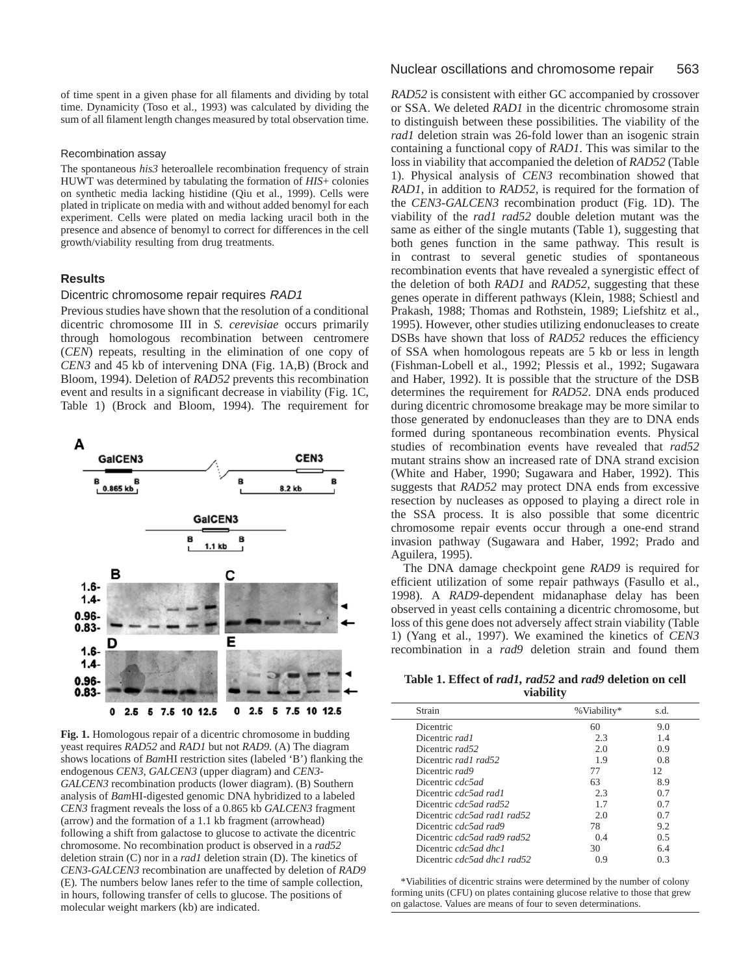of time spent in a given phase for all filaments and dividing by total time. Dynamicity (Toso et al., 1993) was calculated by dividing the sum of all filament length changes measured by total observation time.

#### Recombination assay

The spontaneous *his3* heteroallele recombination frequency of strain HUWT was determined by tabulating the formation of *HIS*+ colonies on synthetic media lacking histidine (Qiu et al., 1999). Cells were plated in triplicate on media with and without added benomyl for each experiment. Cells were plated on media lacking uracil both in the presence and absence of benomyl to correct for differences in the cell growth/viability resulting from drug treatments.

## **Results**

#### Dicentric chromosome repair requires RAD1

Previous studies have shown that the resolution of a conditional dicentric chromosome III in *S. cerevisiae* occurs primarily through homologous recombination between centromere (*CEN*) repeats, resulting in the elimination of one copy of *CEN3* and 45 kb of intervening DNA (Fig. 1A,B) (Brock and Bloom, 1994). Deletion of *RAD52* prevents this recombination event and results in a significant decrease in viability (Fig. 1C, Table 1) (Brock and Bloom, 1994). The requirement for



**Fig. 1.** Homologous repair of a dicentric chromosome in budding yeast requires *RAD52* and *RAD1* but not *RAD9.* (A) The diagram shows locations of *Bam*HI restriction sites (labeled 'B') flanking the endogenous *CEN3, GALCEN3* (upper diagram) and *CEN3- GALCEN3* recombination products (lower diagram). (B) Southern analysis of *Bam*HI-digested genomic DNA hybridized to a labeled *CEN3* fragment reveals the loss of a 0.865 kb *GALCEN3* fragment (arrow) and the formation of a 1.1 kb fragment (arrowhead) following a shift from galactose to glucose to activate the dicentric chromosome. No recombination product is observed in a *rad52* deletion strain (C) nor in a *rad1* deletion strain (D). The kinetics of *CEN3-GALCEN3* recombination are unaffected by deletion of *RAD9* (E)*.* The numbers below lanes refer to the time of sample collection, in hours, following transfer of cells to glucose. The positions of molecular weight markers (kb) are indicated.

*RAD52* is consistent with either GC accompanied by crossover or SSA. We deleted *RAD1* in the dicentric chromosome strain to distinguish between these possibilities. The viability of the *rad1* deletion strain was 26-fold lower than an isogenic strain containing a functional copy of *RAD1*. This was similar to the loss in viability that accompanied the deletion of *RAD52* (Table 1). Physical analysis of *CEN3* recombination showed that *RAD1*, in addition to *RAD52,* is required for the formation of the *CEN3-GALCEN3* recombination product (Fig. 1D). The viability of the *rad1 rad52* double deletion mutant was the same as either of the single mutants (Table 1), suggesting that both genes function in the same pathway. This result is in contrast to several genetic studies of spontaneous recombination events that have revealed a synergistic effect of the deletion of both *RAD1* and *RAD52*, suggesting that these genes operate in different pathways (Klein, 1988; Schiestl and Prakash, 1988; Thomas and Rothstein, 1989; Liefshitz et al., 1995). However, other studies utilizing endonucleases to create DSBs have shown that loss of *RAD52* reduces the efficiency of SSA when homologous repeats are 5 kb or less in length (Fishman-Lobell et al., 1992; Plessis et al., 1992; Sugawara and Haber, 1992). It is possible that the structure of the DSB determines the requirement for *RAD52*. DNA ends produced during dicentric chromosome breakage may be more similar to those generated by endonucleases than they are to DNA ends formed during spontaneous recombination events. Physical studies of recombination events have revealed that *rad52* mutant strains show an increased rate of DNA strand excision (White and Haber, 1990; Sugawara and Haber, 1992). This suggests that *RAD52* may protect DNA ends from excessive resection by nucleases as opposed to playing a direct role in the SSA process. It is also possible that some dicentric chromosome repair events occur through a one-end strand invasion pathway (Sugawara and Haber, 1992; Prado and Aguilera, 1995).

The DNA damage checkpoint gene *RAD9* is required for efficient utilization of some repair pathways (Fasullo et al., 1998). A *RAD9-*dependent midanaphase delay has been observed in yeast cells containing a dicentric chromosome, but loss of this gene does not adversely affect strain viability (Table 1) (Yang et al., 1997). We examined the kinetics of *CEN3* recombination in a *rad9* deletion strain and found them

**Table 1. Effect of** *rad1, rad52* **and** *rad9* **deletion on cell viability**

| Strain                      | % Viability* | s.d. |
|-----------------------------|--------------|------|
| Dicentric                   | 60           | 9.0  |
| Dicentric rad1              | 2.3          | 1.4  |
| Dicentric rad52             | 2.0          | 0.9  |
| Dicentric rad1 rad52        | 1.9          | 0.8  |
| Dicentric rad9              | 77           | 12.  |
| Dicentric cdc5ad            | 63           | 8.9  |
| Dicentric cdc5ad rad1       | 2.3          | 0.7  |
| Dicentric cdc5ad rad52      | 1.7          | 0.7  |
| Dicentric cdc5ad rad1 rad52 | 2.0          | 0.7  |
| Dicentric cdc5ad rad9       | 78           | 9.2  |
| Dicentric cdc5ad rad9 rad52 | 0.4          | 0.5  |
| Dicentric cdc5ad dhc1       | 30           | 64   |
| Dicentric cdc5ad dhc1 rad52 | 0.9          | 0.3  |

\*Viabilities of dicentric strains were determined by the number of colony forming units (CFU) on plates containing glucose relative to those that grew on galactose. Values are means of four to seven determinations.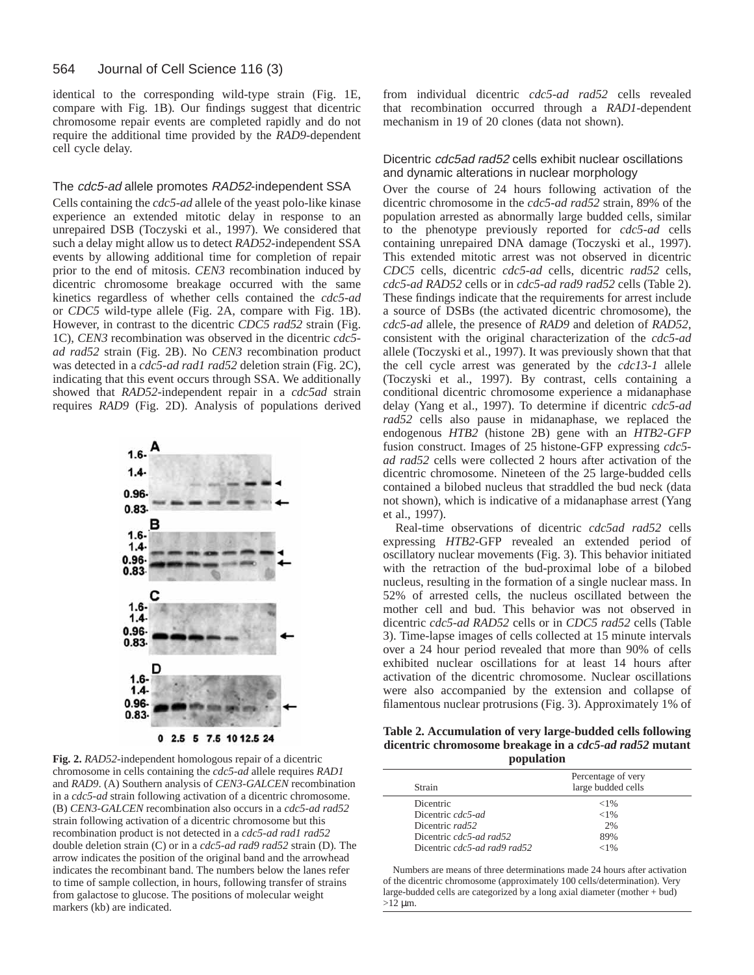identical to the corresponding wild-type strain (Fig. 1E, compare with Fig. 1B)*.* Our findings suggest that dicentric chromosome repair events are completed rapidly and do not require the additional time provided by the *RAD9-*dependent cell cycle delay.

# The cdc5-ad allele promotes RAD52-independent SSA

Cells containing the *cdc5-ad* allele of the yeast polo-like kinase experience an extended mitotic delay in response to an unrepaired DSB (Toczyski et al., 1997). We considered that such a delay might allow us to detect *RAD52-*independent SSA events by allowing additional time for completion of repair prior to the end of mitosis. *CEN3* recombination induced by dicentric chromosome breakage occurred with the same kinetics regardless of whether cells contained the *cdc5-ad* or *CDC5* wild-type allele (Fig. 2A, compare with Fig. 1B). However, in contrast to the dicentric *CDC5 rad52* strain (Fig. 1C), *CEN3* recombination was observed in the dicentric *cdc5 ad rad52* strain (Fig. 2B). No *CEN3* recombination product was detected in a *cdc5-ad rad1 rad52* deletion strain (Fig. 2C), indicating that this event occurs through SSA. We additionally showed that *RAD52-*independent repair in a *cdc5ad* strain requires *RAD9* (Fig. 2D). Analysis of populations derived



**Fig. 2.** *RAD52-*independent homologous repair of a dicentric chromosome in cells containing the *cdc5-ad* allele requires *RAD1* and *RAD9*. (A) Southern analysis of *CEN3-GALCEN* recombination in a *cdc5-ad* strain following activation of a dicentric chromosome. (B) *CEN3-GALCEN* recombination also occurs in a *cdc5-ad rad52* strain following activation of a dicentric chromosome but this recombination product is not detected in a *cdc5-ad rad1 rad52* double deletion strain (C) or in a *cdc5-ad rad9 rad52* strain (D)*.* The arrow indicates the position of the original band and the arrowhead indicates the recombinant band. The numbers below the lanes refer to time of sample collection, in hours, following transfer of strains from galactose to glucose. The positions of molecular weight markers (kb) are indicated.

from individual dicentric *cdc5-ad rad52* cells revealed that recombination occurred through a *RAD1-*dependent mechanism in 19 of 20 clones (data not shown).

# Dicentric cdc5ad rad52 cells exhibit nuclear oscillations and dynamic alterations in nuclear morphology

Over the course of 24 hours following activation of the dicentric chromosome in the *cdc5-ad rad52* strain, 89% of the population arrested as abnormally large budded cells, similar to the phenotype previously reported for *cdc5-ad* cells containing unrepaired DNA damage (Toczyski et al., 1997). This extended mitotic arrest was not observed in dicentric *CDC5* cells, dicentric *cdc5-ad* cells, dicentric *rad52* cells, *cdc5-ad RAD52* cells or in *cdc5-ad rad9 rad52* cells (Table 2). These findings indicate that the requirements for arrest include a source of DSBs (the activated dicentric chromosome), the *cdc5-ad* allele, the presence of *RAD9* and deletion of *RAD52*, consistent with the original characterization of the *cdc5-ad* allele (Toczyski et al., 1997). It was previously shown that that the cell cycle arrest was generated by the *cdc13-1* allele (Toczyski et al., 1997). By contrast, cells containing a conditional dicentric chromosome experience a midanaphase delay (Yang et al., 1997). To determine if dicentric *cdc5-ad rad52* cells also pause in midanaphase, we replaced the endogenous *HTB2* (histone 2B) gene with an *HTB2-GFP* fusion construct. Images of 25 histone-GFP expressing *cdc5 ad rad52* cells were collected 2 hours after activation of the dicentric chromosome. Nineteen of the 25 large-budded cells contained a bilobed nucleus that straddled the bud neck (data not shown), which is indicative of a midanaphase arrest (Yang et al., 1997).

Real-time observations of dicentric *cdc5ad rad52* cells expressing *HTB2*-GFP revealed an extended period of oscillatory nuclear movements (Fig. 3). This behavior initiated with the retraction of the bud-proximal lobe of a bilobed nucleus, resulting in the formation of a single nuclear mass. In 52% of arrested cells, the nucleus oscillated between the mother cell and bud. This behavior was not observed in dicentric *cdc5-ad RAD52* cells or in *CDC5 rad52* cells (Table 3). Time-lapse images of cells collected at 15 minute intervals over a 24 hour period revealed that more than 90% of cells exhibited nuclear oscillations for at least 14 hours after activation of the dicentric chromosome. Nuclear oscillations were also accompanied by the extension and collapse of filamentous nuclear protrusions (Fig. 3). Approximately 1% of

**Table 2. Accumulation of very large-budded cells following dicentric chromosome breakage in a** *cdc5-ad rad52* **mutant population**

| Percentage of very<br>large budded cells |
|------------------------------------------|
| ${<}1\%$                                 |
| ${<}1\%$                                 |
| 2%                                       |
| 89%                                      |
| < 1%                                     |
|                                          |

Numbers are means of three determinations made 24 hours after activation of the dicentric chromosome (approximately 100 cells/determination). Very large-budded cells are categorized by a long axial diameter (mother + bud)  $>12 \mu m$ .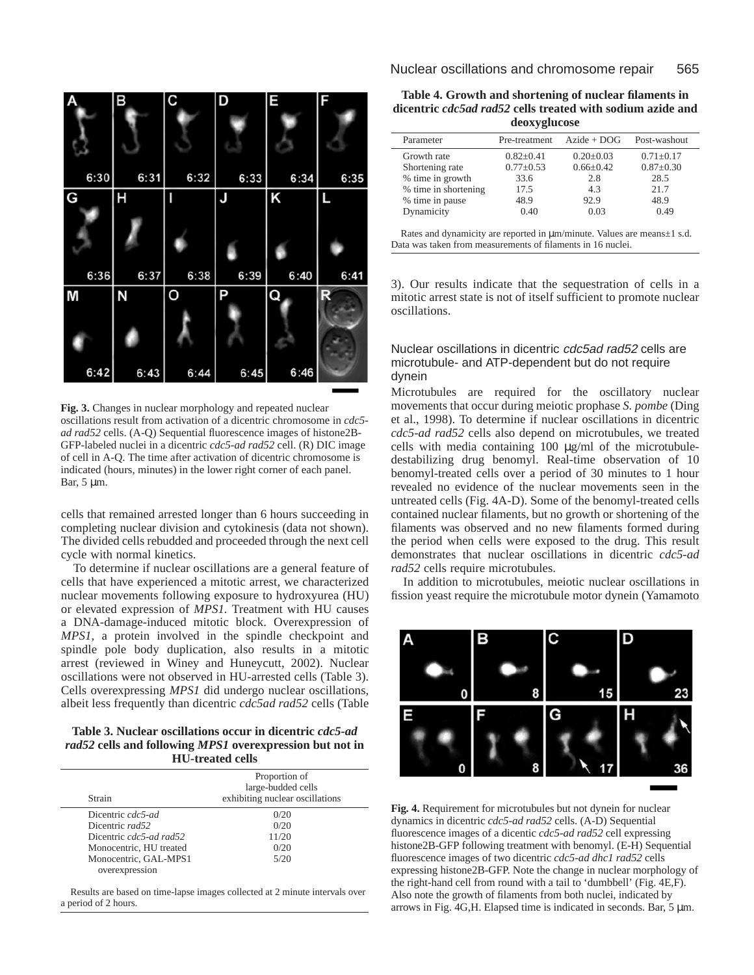

**Fig. 3.** Changes in nuclear morphology and repeated nuclear oscillations result from activation of a dicentric chromosome in *cdc5 ad rad52* cells. (A-Q) Sequential fluorescence images of histone2B-GFP-labeled nuclei in a dicentric *cdc5-ad rad52* cell. (R) DIC image of cell in A-Q. The time after activation of dicentric chromosome is indicated (hours, minutes) in the lower right corner of each panel. Bar, 5 µm.

cells that remained arrested longer than 6 hours succeeding in completing nuclear division and cytokinesis (data not shown). The divided cells rebudded and proceeded through the next cell cycle with normal kinetics.

To determine if nuclear oscillations are a general feature of cells that have experienced a mitotic arrest, we characterized nuclear movements following exposure to hydroxyurea (HU) or elevated expression of *MPS1.* Treatment with HU causes a DNA-damage-induced mitotic block. Overexpression of *MPS1*, a protein involved in the spindle checkpoint and spindle pole body duplication, also results in a mitotic arrest (reviewed in Winey and Huneycutt, 2002). Nuclear oscillations were not observed in HU-arrested cells (Table 3). Cells overexpressing *MPS1* did undergo nuclear oscillations, albeit less frequently than dicentric *cdc5ad rad52* cells (Table

**Table 3. Nuclear oscillations occur in dicentric** *cdc5-ad rad52* **cells and following** *MPS1* **overexpression but not in HU-treated cells**

| Proportion of<br>large-budded cells<br>exhibiting nuclear oscillations |  |
|------------------------------------------------------------------------|--|
| 0/20                                                                   |  |
| 0/20                                                                   |  |
| 11/20                                                                  |  |
| 0/20                                                                   |  |
| 5/20                                                                   |  |
|                                                                        |  |

Results are based on time-lapse images collected at 2 minute intervals over a period of 2 hours.

| Table 4. Growth and shortening of nuclear filaments in            |
|-------------------------------------------------------------------|
| dicentric <i>cdc5ad rad52</i> cells treated with sodium azide and |
| deoxyglucose                                                      |

| Parameter            | Pre-treatment   | $A$ zide + DOG  | Post-washout    |
|----------------------|-----------------|-----------------|-----------------|
| Growth rate          | $0.82 + 0.41$   | $0.20 + 0.03$   | $0.71 \pm 0.17$ |
| Shortening rate      | $0.77 \pm 0.53$ | $0.66 \pm 0.42$ | $0.87 \pm 0.30$ |
| % time in growth     | 33.6            | 2.8             | 28.5            |
| % time in shortening | 17.5            | 4.3             | 21.7            |
| % time in pause      | 48.9            | 92.9            | 48.9            |
| Dynamicity           | 0.40            | 0.03            | 0.49            |

Rates and dynamicity are reported in µm/minute. Values are means±1 s.d. Data was taken from measurements of filaments in 16 nuclei.

3). Our results indicate that the sequestration of cells in a mitotic arrest state is not of itself sufficient to promote nuclear oscillations.

# Nuclear oscillations in dicentric cdc5ad rad52 cells are microtubule- and ATP-dependent but do not require dynein

Microtubules are required for the oscillatory nuclear movements that occur during meiotic prophase *S. pombe* (Ding et al., 1998). To determine if nuclear oscillations in dicentric *cdc5-ad rad52* cells also depend on microtubules, we treated cells with media containing 100 µg/ml of the microtubuledestabilizing drug benomyl. Real-time observation of 10 benomyl-treated cells over a period of 30 minutes to 1 hour revealed no evidence of the nuclear movements seen in the untreated cells (Fig. 4A-D). Some of the benomyl-treated cells contained nuclear filaments, but no growth or shortening of the filaments was observed and no new filaments formed during the period when cells were exposed to the drug. This result demonstrates that nuclear oscillations in dicentric *cdc5-ad rad52* cells require microtubules.

In addition to microtubules, meiotic nuclear oscillations in fission yeast require the microtubule motor dynein (Yamamoto



**Fig. 4.** Requirement for microtubules but not dynein for nuclear dynamics in dicentric *cdc5-ad rad52* cells. (A-D) Sequential fluorescence images of a dicentic *cdc5-ad rad52* cell expressing histone2B-GFP following treatment with benomyl. (E-H) Sequential fluorescence images of two dicentric *cdc5-ad dhc1 rad52* cells expressing histone2B-GFP. Note the change in nuclear morphology of the right-hand cell from round with a tail to 'dumbbell' (Fig. 4E,F). Also note the growth of filaments from both nuclei, indicated by arrows in Fig. 4G,H. Elapsed time is indicated in seconds. Bar, 5 µm.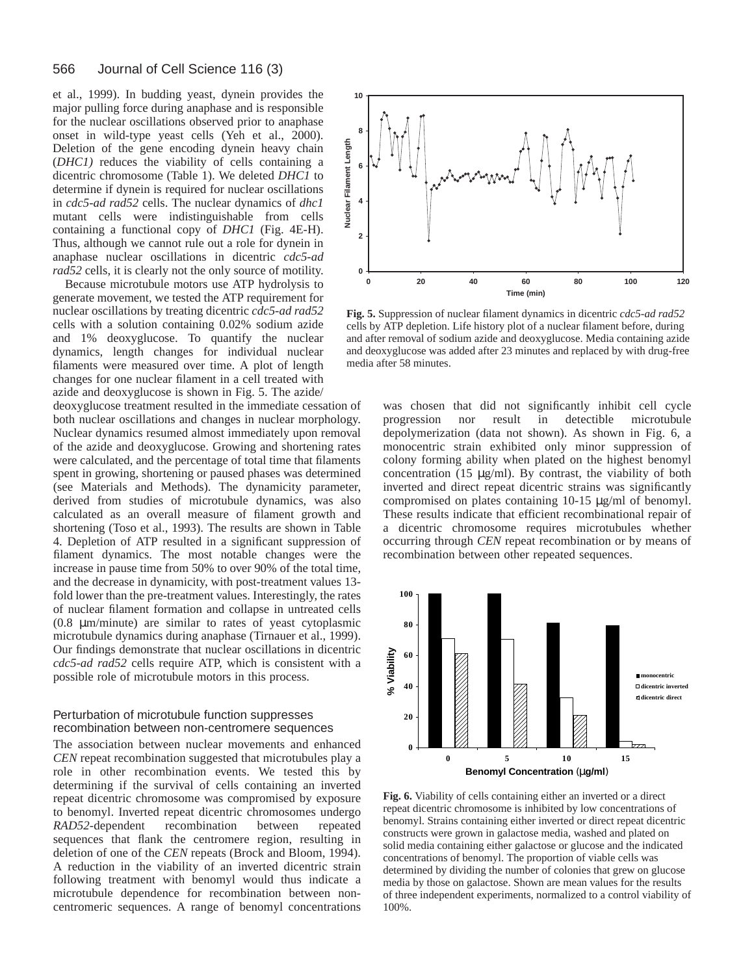#### 566 Journal of Cell Science 116 (3)

et al., 1999). In budding yeast, dynein provides the major pulling force during anaphase and is responsible for the nuclear oscillations observed prior to anaphase onset in wild-type yeast cells (Yeh et al., 2000). Deletion of the gene encoding dynein heavy chain (*DHC1)* reduces the viability of cells containing a dicentric chromosome (Table 1). We deleted *DHC1* to determine if dynein is required for nuclear oscillations in *cdc5-ad rad52* cells. The nuclear dynamics of *dhc1* mutant cells were indistinguishable from cells containing a functional copy of *DHC1* (Fig. 4E-H). Thus, although we cannot rule out a role for dynein in anaphase nuclear oscillations in dicentric *cdc5-ad rad52* cells, it is clearly not the only source of motility.

Because microtubule motors use ATP hydrolysis to generate movement, we tested the ATP requirement for nuclear oscillations by treating dicentric *cdc5-ad rad52* cells with a solution containing 0.02% sodium azide and 1% deoxyglucose. To quantify the nuclear dynamics, length changes for individual nuclear filaments were measured over time. A plot of length changes for one nuclear filament in a cell treated with azide and deoxyglucose is shown in Fig. 5. The azide/

deoxyglucose treatment resulted in the immediate cessation of both nuclear oscillations and changes in nuclear morphology. Nuclear dynamics resumed almost immediately upon removal of the azide and deoxyglucose. Growing and shortening rates were calculated, and the percentage of total time that filaments spent in growing, shortening or paused phases was determined (see Materials and Methods). The dynamicity parameter, derived from studies of microtubule dynamics, was also calculated as an overall measure of filament growth and shortening (Toso et al., 1993). The results are shown in Table 4. Depletion of ATP resulted in a significant suppression of filament dynamics. The most notable changes were the increase in pause time from 50% to over 90% of the total time, and the decrease in dynamicity, with post-treatment values 13 fold lower than the pre-treatment values. Interestingly, the rates of nuclear filament formation and collapse in untreated cells (0.8 µm/minute) are similar to rates of yeast cytoplasmic microtubule dynamics during anaphase (Tirnauer et al., 1999). Our findings demonstrate that nuclear oscillations in dicentric *cdc5-ad rad52* cells require ATP, which is consistent with a possible role of microtubule motors in this process.

# Perturbation of microtubule function suppresses recombination between non-centromere sequences

The association between nuclear movements and enhanced *CEN* repeat recombination suggested that microtubules play a role in other recombination events. We tested this by determining if the survival of cells containing an inverted repeat dicentric chromosome was compromised by exposure to benomyl. Inverted repeat dicentric chromosomes undergo *RAD52-*dependent recombination between repeated sequences that flank the centromere region, resulting in deletion of one of the *CEN* repeats (Brock and Bloom, 1994). A reduction in the viability of an inverted dicentric strain following treatment with benomyl would thus indicate a microtubule dependence for recombination between noncentromeric sequences. A range of benomyl concentrations



**Fig. 5.** Suppression of nuclear filament dynamics in dicentric *cdc5-ad rad52* cells by ATP depletion. Life history plot of a nuclear filament before, during and after removal of sodium azide and deoxyglucose. Media containing azide and deoxyglucose was added after 23 minutes and replaced by with drug-free media after 58 minutes.

was chosen that did not significantly inhibit cell cycle progression nor result in detectible microtubule depolymerization (data not shown). As shown in Fig. 6, a monocentric strain exhibited only minor suppression of colony forming ability when plated on the highest benomyl concentration (15 µg/ml). By contrast, the viability of both inverted and direct repeat dicentric strains was significantly compromised on plates containing 10-15 µg/ml of benomyl. These results indicate that efficient recombinational repair of a dicentric chromosome requires microtubules whether occurring through *CEN* repeat recombination or by means of recombination between other repeated sequences.



**Fig. 6.** Viability of cells containing either an inverted or a direct repeat dicentric chromosome is inhibited by low concentrations of benomyl. Strains containing either inverted or direct repeat dicentric constructs were grown in galactose media, washed and plated on solid media containing either galactose or glucose and the indicated concentrations of benomyl. The proportion of viable cells was determined by dividing the number of colonies that grew on glucose media by those on galactose. Shown are mean values for the results of three independent experiments, normalized to a control viability of 100%.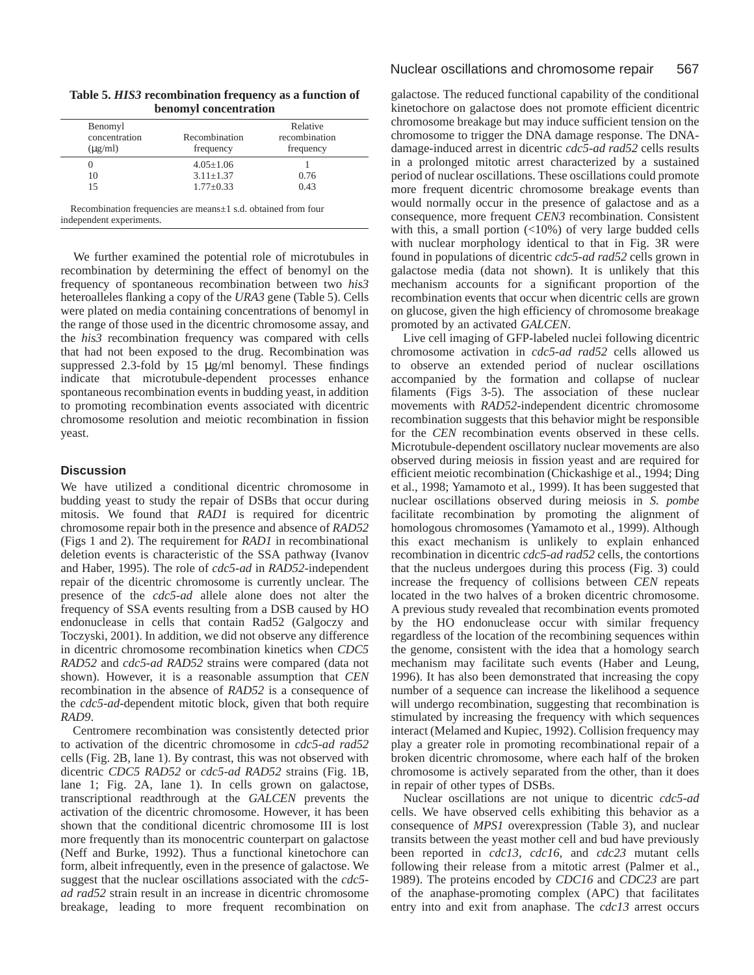| Benomyl<br>concentration<br>$(\mu$ g/ml) | Recombination<br>frequency | Relative<br>recombination<br>frequency |
|------------------------------------------|----------------------------|----------------------------------------|
|                                          | $4.05 \pm 1.06$            |                                        |
| 10                                       | $3.11 \pm 1.37$            | 0.76                                   |
| 15                                       | $1.77 \pm 0.33$            | 0.43                                   |

**Table 5.** *HIS3* **recombination frequency as a function of benomyl concentration**

independent experiments.

We further examined the potential role of microtubules in recombination by determining the effect of benomyl on the frequency of spontaneous recombination between two *his3* heteroalleles flanking a copy of the *URA3* gene (Table 5). Cells were plated on media containing concentrations of benomyl in the range of those used in the dicentric chromosome assay, and the *his3* recombination frequency was compared with cells that had not been exposed to the drug. Recombination was suppressed 2.3-fold by 15 µg/ml benomyl. These findings indicate that microtubule-dependent processes enhance spontaneous recombination events in budding yeast, in addition to promoting recombination events associated with dicentric chromosome resolution and meiotic recombination in fission yeast.

# **Discussion**

We have utilized a conditional dicentric chromosome in budding yeast to study the repair of DSBs that occur during mitosis. We found that *RAD1* is required for dicentric chromosome repair both in the presence and absence of *RAD52* (Figs 1 and 2). The requirement for *RAD1* in recombinational deletion events is characteristic of the SSA pathway (Ivanov and Haber, 1995). The role of *cdc5-ad* in *RAD52-*independent repair of the dicentric chromosome is currently unclear. The presence of the *cdc5-ad* allele alone does not alter the frequency of SSA events resulting from a DSB caused by HO endonuclease in cells that contain Rad52 (Galgoczy and Toczyski, 2001). In addition, we did not observe any difference in dicentric chromosome recombination kinetics when *CDC5 RAD52* and *cdc5-ad RAD52* strains were compared (data not shown). However, it is a reasonable assumption that *CEN* recombination in the absence of *RAD52* is a consequence of the *cdc5-ad*-dependent mitotic block, given that both require *RAD9*.

Centromere recombination was consistently detected prior to activation of the dicentric chromosome in *cdc5-ad rad52* cells (Fig. 2B, lane 1). By contrast, this was not observed with dicentric *CDC5 RAD52* or *cdc5-ad RAD52* strains (Fig. 1B, lane 1; Fig. 2A, lane 1). In cells grown on galactose, transcriptional readthrough at the *GALCEN* prevents the activation of the dicentric chromosome. However, it has been shown that the conditional dicentric chromosome III is lost more frequently than its monocentric counterpart on galactose (Neff and Burke, 1992). Thus a functional kinetochore can form, albeit infrequently, even in the presence of galactose. We suggest that the nuclear oscillations associated with the *cdc5 ad rad52* strain result in an increase in dicentric chromosome breakage, leading to more frequent recombination on

galactose. The reduced functional capability of the conditional kinetochore on galactose does not promote efficient dicentric chromosome breakage but may induce sufficient tension on the chromosome to trigger the DNA damage response. The DNAdamage-induced arrest in dicentric *cdc5-ad rad52* cells results in a prolonged mitotic arrest characterized by a sustained period of nuclear oscillations. These oscillations could promote more frequent dicentric chromosome breakage events than would normally occur in the presence of galactose and as a consequence, more frequent *CEN3* recombination. Consistent with this, a small portion (<10%) of very large budded cells with nuclear morphology identical to that in Fig. 3R were found in populations of dicentric *cdc5-ad rad52* cells grown in galactose media (data not shown). It is unlikely that this mechanism accounts for a significant proportion of the recombination events that occur when dicentric cells are grown on glucose, given the high efficiency of chromosome breakage promoted by an activated *GALCEN*.

Live cell imaging of GFP-labeled nuclei following dicentric chromosome activation in *cdc5-ad rad52* cells allowed us to observe an extended period of nuclear oscillations accompanied by the formation and collapse of nuclear filaments (Figs 3-5). The association of these nuclear movements with *RAD52-*independent dicentric chromosome recombination suggests that this behavior might be responsible for the *CEN* recombination events observed in these cells. Microtubule-dependent oscillatory nuclear movements are also observed during meiosis in fission yeast and are required for efficient meiotic recombination (Chickashige et al., 1994; Ding et al., 1998; Yamamoto et al., 1999). It has been suggested that nuclear oscillations observed during meiosis in *S. pombe* facilitate recombination by promoting the alignment of homologous chromosomes (Yamamoto et al., 1999). Although this exact mechanism is unlikely to explain enhanced recombination in dicentric *cdc5-ad rad52* cells, the contortions that the nucleus undergoes during this process (Fig. 3) could increase the frequency of collisions between *CEN* repeats located in the two halves of a broken dicentric chromosome. A previous study revealed that recombination events promoted by the HO endonuclease occur with similar frequency regardless of the location of the recombining sequences within the genome, consistent with the idea that a homology search mechanism may facilitate such events (Haber and Leung, 1996). It has also been demonstrated that increasing the copy number of a sequence can increase the likelihood a sequence will undergo recombination, suggesting that recombination is stimulated by increasing the frequency with which sequences interact (Melamed and Kupiec, 1992). Collision frequency may play a greater role in promoting recombinational repair of a broken dicentric chromosome, where each half of the broken chromosome is actively separated from the other, than it does in repair of other types of DSBs.

Nuclear oscillations are not unique to dicentric *cdc5-ad* cells. We have observed cells exhibiting this behavior as a consequence of *MPS1* overexpression (Table 3), and nuclear transits between the yeast mother cell and bud have previously been reported in *cdc13, cdc16,* and *cdc23* mutant cells following their release from a mitotic arrest (Palmer et al., 1989). The proteins encoded by *CDC16* and *CDC23* are part of the anaphase-promoting complex (APC) that facilitates entry into and exit from anaphase. The *cdc13* arrest occurs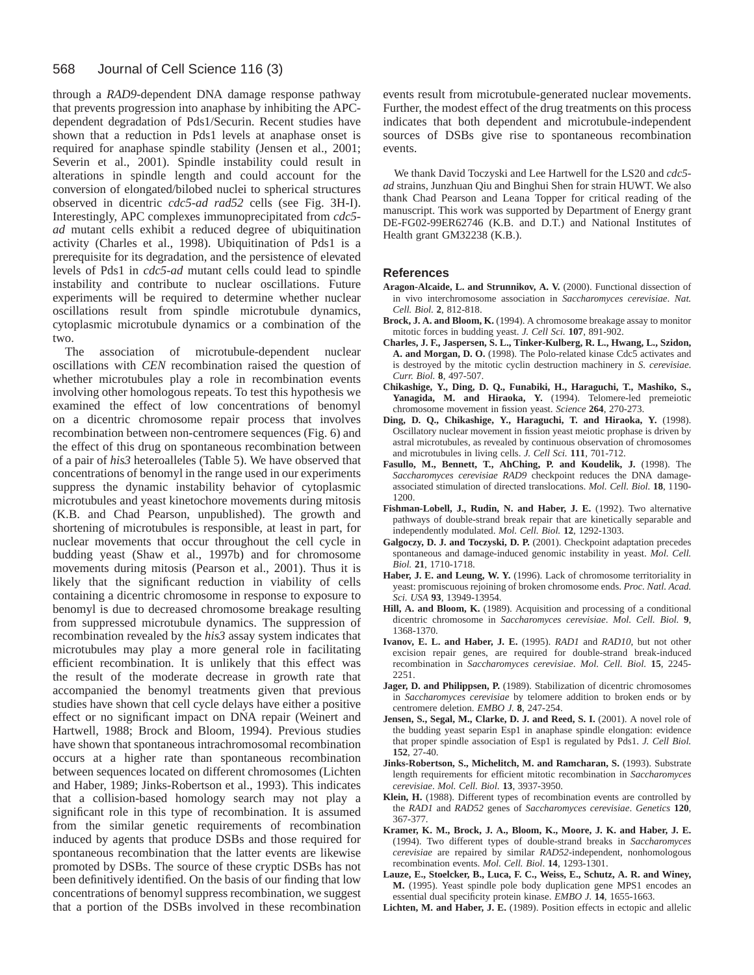#### 568 Journal of Cell Science 116 (3)

through a *RAD9*-dependent DNA damage response pathway that prevents progression into anaphase by inhibiting the APCdependent degradation of Pds1/Securin. Recent studies have shown that a reduction in Pds1 levels at anaphase onset is required for anaphase spindle stability (Jensen et al., 2001; Severin et al., 2001). Spindle instability could result in alterations in spindle length and could account for the conversion of elongated/bilobed nuclei to spherical structures observed in dicentric *cdc5-ad rad52* cells (see Fig. 3H-I). Interestingly, APC complexes immunoprecipitated from *cdc5 ad* mutant cells exhibit a reduced degree of ubiquitination activity (Charles et al., 1998). Ubiquitination of Pds1 is a prerequisite for its degradation, and the persistence of elevated levels of Pds1 in *cdc5-ad* mutant cells could lead to spindle instability and contribute to nuclear oscillations. Future experiments will be required to determine whether nuclear oscillations result from spindle microtubule dynamics, cytoplasmic microtubule dynamics or a combination of the two.

The association of microtubule-dependent nuclear oscillations with *CEN* recombination raised the question of whether microtubules play a role in recombination events involving other homologous repeats. To test this hypothesis we examined the effect of low concentrations of benomyl on a dicentric chromosome repair process that involves recombination between non-centromere sequences (Fig. 6) and the effect of this drug on spontaneous recombination between of a pair of *his3* heteroalleles (Table 5). We have observed that concentrations of benomyl in the range used in our experiments suppress the dynamic instability behavior of cytoplasmic microtubules and yeast kinetochore movements during mitosis (K.B. and Chad Pearson, unpublished). The growth and shortening of microtubules is responsible, at least in part, for nuclear movements that occur throughout the cell cycle in budding yeast (Shaw et al., 1997b) and for chromosome movements during mitosis (Pearson et al., 2001). Thus it is likely that the significant reduction in viability of cells containing a dicentric chromosome in response to exposure to benomyl is due to decreased chromosome breakage resulting from suppressed microtubule dynamics. The suppression of recombination revealed by the *his3* assay system indicates that microtubules may play a more general role in facilitating efficient recombination. It is unlikely that this effect was the result of the moderate decrease in growth rate that accompanied the benomyl treatments given that previous studies have shown that cell cycle delays have either a positive effect or no significant impact on DNA repair (Weinert and Hartwell, 1988; Brock and Bloom, 1994). Previous studies have shown that spontaneous intrachromosomal recombination occurs at a higher rate than spontaneous recombination between sequences located on different chromosomes (Lichten and Haber, 1989; Jinks-Robertson et al., 1993). This indicates that a collision-based homology search may not play a significant role in this type of recombination. It is assumed from the similar genetic requirements of recombination induced by agents that produce DSBs and those required for spontaneous recombination that the latter events are likewise promoted by DSBs. The source of these cryptic DSBs has not been definitively identified. On the basis of our finding that low concentrations of benomyl suppress recombination, we suggest that a portion of the DSBs involved in these recombination

events result from microtubule-generated nuclear movements. Further, the modest effect of the drug treatments on this process indicates that both dependent and microtubule-independent sources of DSBs give rise to spontaneous recombination events.

We thank David Toczyski and Lee Hartwell for the LS20 and *cdc5 ad* strains, Junzhuan Qiu and Binghui Shen for strain HUWT. We also thank Chad Pearson and Leana Topper for critical reading of the manuscript. This work was supported by Department of Energy grant DE-FG02-99ER62746 (K.B. and D.T.) and National Institutes of Health grant GM32238 (K.B.).

## **References**

- **Aragon-Alcaide, L. and Strunnikov, A. V.** (2000). Functional dissection of in vivo interchromosome association in *Saccharomyces cerevisiae*. *Nat. Cell. Biol.* **2**, 812-818.
- **Brock, J. A. and Bloom, K.** (1994). A chromosome breakage assay to monitor mitotic forces in budding yeast. *J. Cell Sci.* **107**, 891-902.
- **Charles, J. F., Jaspersen, S. L., Tinker-Kulberg, R. L., Hwang, L., Szidon, A. and Morgan, D. O.** (1998). The Polo-related kinase Cdc5 activates and is destroyed by the mitotic cyclin destruction machinery in *S. cerevisiae*. *Curr. Biol.* **8**, 497-507.
- **Chikashige, Y., Ding, D. Q., Funabiki, H., Haraguchi, T., Mashiko, S., Yanagida, M. and Hiraoka, Y.** (1994). Telomere-led premeiotic chromosome movement in fission yeast. *Science* **264**, 270-273.
- **Ding, D. Q., Chikashige, Y., Haraguchi, T. and Hiraoka, Y.** (1998). Oscillatory nuclear movement in fission yeast meiotic prophase is driven by astral microtubules, as revealed by continuous observation of chromosomes and microtubules in living cells. *J. Cell Sci.* **111**, 701-712.
- **Fasullo, M., Bennett, T., AhChing, P. and Koudelik, J.** (1998). The *Saccharomyces cerevisiae RAD9* checkpoint reduces the DNA damageassociated stimulation of directed translocations. *Mol. Cell. Biol.* **18**, 1190- 1200.
- **Fishman-Lobell, J., Rudin, N. and Haber, J. E.** (1992). Two alternative pathways of double-strand break repair that are kinetically separable and independently modulated. *Mol. Cell. Biol.* **12**, 1292-1303.
- **Galgoczy, D. J. and Toczyski, D. P.** (2001). Checkpoint adaptation precedes spontaneous and damage-induced genomic instability in yeast. *Mol. Cell. Biol.* **21**, 1710-1718.
- **Haber, J. E. and Leung, W. Y.** (1996). Lack of chromosome territoriality in yeast: promiscuous rejoining of broken chromosome ends. *Proc. Natl. Acad. Sci. USA* **93**, 13949-13954.
- **Hill, A. and Bloom, K.** (1989). Acquisition and processing of a conditional dicentric chromosome in *Saccharomyces cerevisiae*. *Mol. Cell. Biol.* **9**, 1368-1370.
- **Ivanov, E. L. and Haber, J. E.** (1995). *RAD1* and *RAD10*, but not other excision repair genes, are required for double-strand break-induced recombination in *Saccharomyces cerevisiae*. *Mol. Cell. Biol.* **15**, 2245- 2251.
- **Jager, D. and Philippsen, P.** (1989). Stabilization of dicentric chromosomes in *Saccharomyces cerevisiae* by telomere addition to broken ends or by centromere deletion. *EMBO J.* **8**, 247-254.
- **Jensen, S., Segal, M., Clarke, D. J. and Reed, S. I.** (2001). A novel role of the budding yeast separin Esp1 in anaphase spindle elongation: evidence that proper spindle association of Esp1 is regulated by Pds1. *J. Cell Biol.* **152**, 27-40.
- Jinks-Robertson, S., Michelitch, M. and Ramcharan, S. (1993). Substrate length requirements for efficient mitotic recombination in *Saccharomyces cerevisiae*. *Mol. Cell. Biol.* **13**, 3937-3950.
- **Klein, H.** (1988). Different types of recombination events are controlled by the *RAD1* and *RAD52* genes of *Saccharomyces cerevisiae*. *Genetics* **120**, 367-377.
- **Kramer, K. M., Brock, J. A., Bloom, K., Moore, J. K. and Haber, J. E.** (1994). Two different types of double-strand breaks in *Saccharomyces cerevisiae* are repaired by similar *RAD52*-independent, nonhomologous recombination events. *Mol. Cell. Biol*. **14**, 1293-1301.
- **Lauze, E., Stoelcker, B., Luca, F. C., Weiss, E., Schutz, A. R. and Winey, M.** (1995). Yeast spindle pole body duplication gene MPS1 encodes an essential dual specificity protein kinase. *EMBO J*. **14**, 1655-1663.
- **Lichten, M. and Haber, J. E.** (1989). Position effects in ectopic and allelic